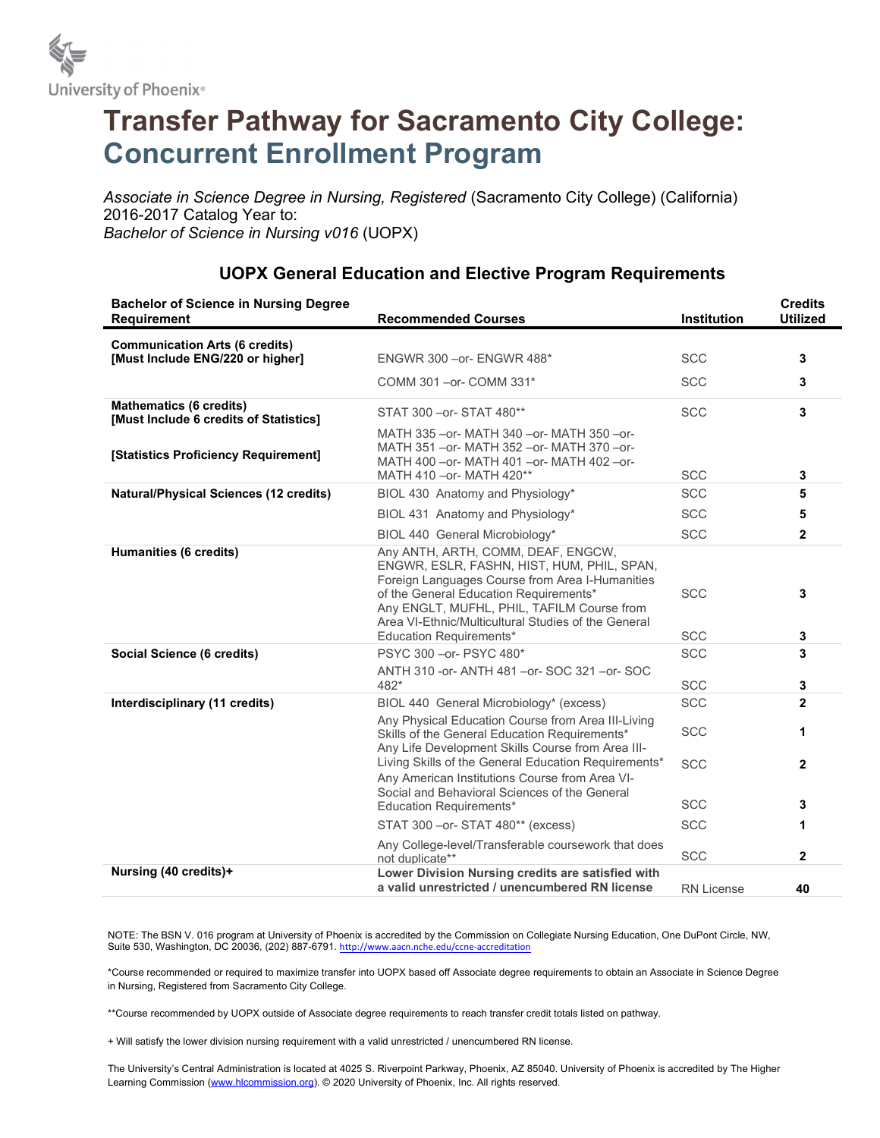

## Transfer Pathway for Sacramento City College: Concurrent Enrollment Program

Associate in Science Degree in Nursing, Registered (Sacramento City College) (California) 2016-2017 Catalog Year to: Bachelor of Science in Nursing v016 (UOPX)

| <b>Bachelor of Science in Nursing Degree</b><br><b>Requirement</b>       | <b>Recommended Courses</b>                                                                                                                                                                                                                                                                                    | Institution              | <b>Credits</b><br><b>Utilized</b> |
|--------------------------------------------------------------------------|---------------------------------------------------------------------------------------------------------------------------------------------------------------------------------------------------------------------------------------------------------------------------------------------------------------|--------------------------|-----------------------------------|
| <b>Communication Arts (6 credits)</b>                                    |                                                                                                                                                                                                                                                                                                               |                          |                                   |
| [Must Include ENG/220 or higher]                                         | ENGWR 300 - or- ENGWR 488*                                                                                                                                                                                                                                                                                    | <b>SCC</b>               | 3                                 |
|                                                                          | COMM 301-or-COMM 331*                                                                                                                                                                                                                                                                                         | <b>SCC</b>               | 3                                 |
| <b>Mathematics (6 credits)</b><br>[Must Include 6 credits of Statistics] | STAT 300 - or-STAT 480**                                                                                                                                                                                                                                                                                      | <b>SCC</b>               | 3                                 |
| [Statistics Proficiency Requirement]                                     | MATH 335 - or - MATH 340 - or - MATH 350 - or -<br>MATH 351 - or - MATH 352 - or - MATH 370 - or -<br>MATH 400 - or- MATH 401 - or- MATH 402 - or-<br>MATH 410 - or- MATH 420**                                                                                                                               | <b>SCC</b>               | 3                                 |
| <b>Natural/Physical Sciences (12 credits)</b>                            | BIOL 430 Anatomy and Physiology*                                                                                                                                                                                                                                                                              | <b>SCC</b>               | 5                                 |
|                                                                          | BIOL 431 Anatomy and Physiology*                                                                                                                                                                                                                                                                              | <b>SCC</b>               | 5                                 |
|                                                                          | BIOL 440 General Microbiology*                                                                                                                                                                                                                                                                                | <b>SCC</b>               | $\mathbf{2}$                      |
| Humanities (6 credits)                                                   | Any ANTH, ARTH, COMM, DEAF, ENGCW,<br>ENGWR, ESLR, FASHN, HIST, HUM, PHIL, SPAN,<br>Foreign Languages Course from Area I-Humanities<br>of the General Education Requirements*<br>Any ENGLT, MUFHL, PHIL, TAFILM Course from<br>Area VI-Ethnic/Multicultural Studies of the General<br>Education Requirements* | <b>SCC</b><br><b>SCC</b> | 3<br>3                            |
| Social Science (6 credits)                                               | PSYC 300 - or- PSYC 480*                                                                                                                                                                                                                                                                                      | <b>SCC</b>               | 3                                 |
|                                                                          | ANTH 310 - or - ANTH 481 - or - SOC 321 - or - SOC<br>482*                                                                                                                                                                                                                                                    | <b>SCC</b>               | 3                                 |
| Interdisciplinary (11 credits)                                           | BIOL 440 General Microbiology* (excess)                                                                                                                                                                                                                                                                       | <b>SCC</b>               | $\mathbf{2}$                      |
|                                                                          | Any Physical Education Course from Area III-Living<br>Skills of the General Education Requirements*<br>Any Life Development Skills Course from Area III-                                                                                                                                                      | <b>SCC</b>               | 1                                 |
|                                                                          | Living Skills of the General Education Requirements*<br>Any American Institutions Course from Area VI-<br>Social and Behavioral Sciences of the General                                                                                                                                                       | <b>SCC</b>               | $\mathbf{2}$                      |
|                                                                          | <b>Education Requirements*</b>                                                                                                                                                                                                                                                                                | <b>SCC</b>               | 3                                 |
|                                                                          | STAT 300 - or-STAT 480** (excess)                                                                                                                                                                                                                                                                             | <b>SCC</b>               | 1                                 |
|                                                                          | Any College-level/Transferable coursework that does<br>not duplicate**                                                                                                                                                                                                                                        | <b>SCC</b>               | $\mathbf{2}$                      |
| Nursing (40 credits)+                                                    | Lower Division Nursing credits are satisfied with<br>a valid unrestricted / unencumbered RN license                                                                                                                                                                                                           | <b>RN License</b>        | 40                                |

## UOPX General Education and Elective Program Requirements

NOTE: The BSN V. 016 program at University of Phoenix is accredited by the Commission on Collegiate Nursing Education, One DuPont Circle, NW, Suite 530, Washington, DC 20036, (202) 887-6791. http://www.aacn.nche.edu/ccne-accreditation

\*Course recommended or required to maximize transfer into UOPX based off Associate degree requirements to obtain an Associate in Science Degree in Nursing, Registered from Sacramento City College.

\*\*Course recommended by UOPX outside of Associate degree requirements to reach transfer credit totals listed on pathway.

+ Will satisfy the lower division nursing requirement with a valid unrestricted / unencumbered RN license.

The University's Central Administration is located at 4025 S. Riverpoint Parkway, Phoenix, AZ 85040. University of Phoenix is accredited by The Higher Learning Commission (www.hlcommission.org). © 2020 University of Phoenix, Inc. All rights reserved.